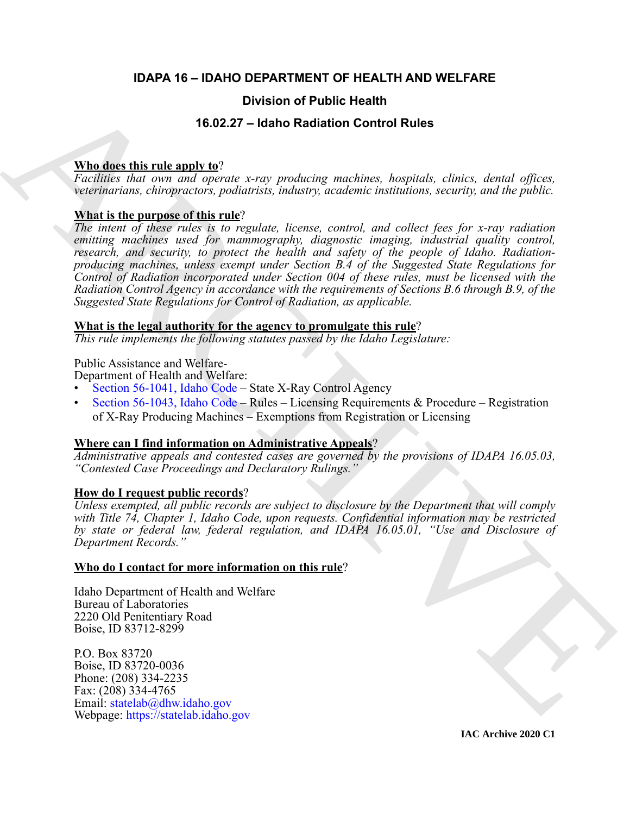# **IDAPA 16 – IDAHO DEPARTMENT OF HEALTH AND WELFARE**

# **Division of Public Health**

# **16.02.27 – Idaho Radiation Control Rules**

# **Who does this rule apply to**?

*Facilities that own and operate x-ray producing machines, hospitals, clinics, dental offices, veterinarians, chiropractors, podiatrists, industry, academic institutions, security, and the public.*

# **What is the purpose of this rule**?

**Division of Public Health**<br> **Solution (16.02.27 – Idaho Radiation [C](https://legislature.idaho.gov/statutesrules/idstat/Title56/T56CH10/SECT56-1041/)ontrol Rules)**<br> **Solution:** *Backnotic halo time and mental energy producing machines increasing, choice, donal offices, ventering machines including the The intent of these rules is to regulate, license, control, and collect fees for x-ray radiation emitting machines used for mammography, diagnostic imaging, industrial quality control, research, and security, to protect the health and safety of the people of Idaho. Radiationproducing machines, unless exempt under Section B.4 of the Suggested State Regulations for Control of Radiation incorporated under Section 004 of these rules, must be licensed with the Radiation Control Agency in accordance with the requirements of Sections B.6 through B.9, of the Suggested State Regulations for Control of Radiation, as applicable.*

# **What is the legal authority for the agency to promulgate this rule**?

*This rule implements the following statutes passed by the Idaho Legislature:*

Public Assistance and Welfare-

Department of Health and Welfare:

- Section 56-1041, Idaho Code State X-Ray Control Agency
- Section 56-1043, Idaho Code Rules Licensing Requirements & Procedure Registration of X-Ray Producing Machines – Exemptions from Registration or Licensing

# **Where can I find information on Administrative Appeals**?

*Administrative appeals and contested cases are governed by the provisions of IDAPA 16.05.03, "Contested Case Proceedings and Declaratory Rulings."*

# **How do I request public records**?

*Unless exempted, all public records are subject to disclosure by the Department that will comply with Title 74, Chapter 1, Idaho Code, upon requests. Confidential information may be restricted by state or federal law, federal regulation, and IDAPA 16.05.01, "Use and Disclosure of Department Records."*

# **Who do I contact for more information on this rule**?

Idaho Department of Health and Welfare Bureau of Laboratories 2220 Old Penitentiary Road Boise, ID 83712-8299

P.O. Box 83720 Boise, ID 83720-0036 Phone: (208) 334-2235 Fax: (208) 334-4765 Email: statelab@dhw.idaho.gov Webpage: https://statelab.idaho.gov

**IAC Archive 2020 C1**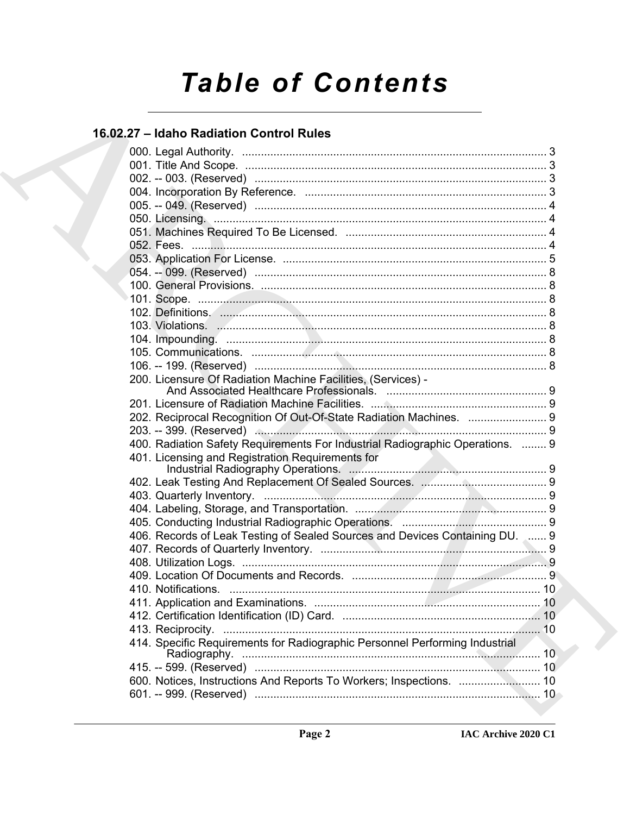# **Table of Contents**

# 16.02.27 - Idaho Radiation Control Rules

| 200. Licensure Of Radiation Machine Facilities, (Services) -                  |  |
|-------------------------------------------------------------------------------|--|
|                                                                               |  |
|                                                                               |  |
| 202. Reciprocal Recognition Of Out-Of-State Radiation Machines.  9            |  |
|                                                                               |  |
| 400. Radiation Safety Requirements For Industrial Radiographic Operations.  9 |  |
| 401. Licensing and Registration Requirements for                              |  |
|                                                                               |  |
|                                                                               |  |
|                                                                               |  |
|                                                                               |  |
|                                                                               |  |
| 406. Records of Leak Testing of Sealed Sources and Devices Containing DU. 3 9 |  |
|                                                                               |  |
|                                                                               |  |
|                                                                               |  |
| 411. Application and Examinations                                             |  |
|                                                                               |  |
|                                                                               |  |
| 414. Specific Requirements for Radiographic Personnel Performing Industrial   |  |
|                                                                               |  |
|                                                                               |  |
| 600. Notices, Instructions And Reports To Workers; Inspections.  10           |  |
|                                                                               |  |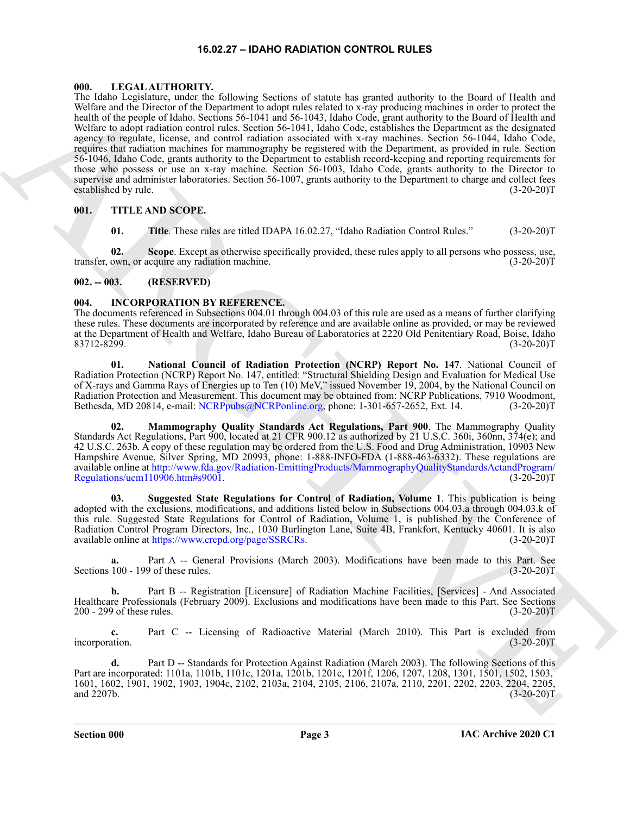#### **16.02.27 – IDAHO RADIATION CONTROL RULES**

#### <span id="page-2-9"></span><span id="page-2-1"></span><span id="page-2-0"></span>**000. LEGAL AUTHORITY.**

The block registion, containing the solution of the form in the granted about the form of the basic of the form of the solution of the solution of the solution of the solution of the solution of the solution of the soluti The Idaho Legislature, under the following Sections of statute has granted authority to the Board of Health and Welfare and the Director of the Department to adopt rules related to x-ray producing machines in order to protect the health of the people of Idaho. Sections 56-1041 and 56-1043, Idaho Code, grant authority to the Board of Health and Welfare to adopt radiation control rules. Section 56-1041, Idaho Code, establishes the Department as the designated agency to regulate, license, and control radiation associated with x-ray machines. Section 56-1044, Idaho Code, requires that radiation machines for mammography be registered with the Department, as provided in rule. Section 56-1046, Idaho Code, grants authority to the Department to establish record-keeping and reporting requirements for those who possess or use an x-ray machine. Section 56-1003, Idaho Code, grants authority to the Director to supervise and administer laboratories. Section 56-1007, grants authority to the Department to charge and collect fees established by rule. (3-20-20)T

# <span id="page-2-2"></span>**001. TITLE AND SCOPE.**

<span id="page-2-10"></span>**01.** Title. These rules are titled IDAPA 16.02.27, "Idaho Radiation Control Rules." (3-20-20)T

**02. Scope**. Except as otherwise specifically provided, these rules apply to all persons who possess, use, transfer, own, or acquire any radiation machine. (3-20-20)T

#### <span id="page-2-3"></span>**002. -- 003. (RESERVED)**

#### <span id="page-2-5"></span><span id="page-2-4"></span>**004. INCORPORATION BY REFERENCE.**

The documents referenced in Subsections 004.01 through 004.03 of this rule are used as a means of further clarifying these rules. These documents are incorporated by reference and are available online as provided, or may be reviewed at the Department of Health and Welfare, Idaho Bureau of Laboratories at 2220 Old Penitentiary Road, Boise, Idaho 83712-8299. (3-20-20)T

<span id="page-2-7"></span>**01. National Council of Radiation Protection (NCRP) Report No. 147**. National Council of Radiation Protection (NCRP) Report No. 147, entitled: "Structural Shielding Design and Evaluation for Medical Use of X-rays and Gamma Rays of Energies up to Ten (10) MeV," issued November 19, 2004, by the National Council on Radiation Protection and Measurement. This document may be obtained from: NCRP Publications, 7910 Woodmont, Bethesda, MD 20814, e-mail: NCRPpubs@NCRPonline.org, phone: 1-301-657-2652, Ext. 14. (3-20-20)T Bethesda, MD 20814, e-mail: NCRPpubs@NCRPonline.org, phone: 1-301-657-2652, Ext. 14.

<span id="page-2-6"></span>**02. Mammography Quality Standards Act Regulations, Part 900**. The Mammography Quality Standards Act Regulations, Part 900, located at 21 CFR 900.12 as authorized by 21 U.S.C. 360i, 360nn, 374(e); and 42 U.S.C. 263b. A copy of these regulation may be ordered from the U.S. Food and Drug Administration, 10903 New Hampshire Avenue, Silver Spring, MD 20993, phone: 1-888-INFO-FDA (1-888-463-6332). These regulations are available online at http://www.fda.gov/Radiation-EmittingProducts/MammographyQualityStandardsActandProgram/ Regulations/ucm110906.htm#s9001. (3-20-20)T

<span id="page-2-8"></span>**03. Suggested State Regulations for Control of Radiation, Volume 1**. This publication is being adopted with the exclusions, modifications, and additions listed below in Subsections 004.03.a through 004.03.k of this rule. Suggested State Regulations for Control of Radiation, Volume 1, is published by the Conference of Radiation Control Program Directors, Inc., 1030 Burlington Lane, Suite 4B, Frankfort, Kentucky 40601. It is also available online at https://www.crcpd.org/page/SSRCRs. (3-20-20)T

**a.** Part A -- General Provisions (March 2003). Modifications have been made to this Part. See Sections 100 - 199 of these rules. (3-20-20)T

**b.** Part B -- Registration [Licensure] of Radiation Machine Facilities, [Services] - And Associated Healthcare Professionals (February 2009). Exclusions and modifications have been made to this Part. See Sections 200 - 299 of these rules. (3-20-20)T 200 - 299 of these rules.

**c.** Part C -- Licensing of Radioactive Material (March 2010). This Part is excluded from incorporation. (3-20-20)T

**d.** Part D -- Standards for Protection Against Radiation (March 2003). The following Sections of this Part are incorporated: 1101a, 1101b, 1101c, 1201a, 1201b, 1201c, 1201f, 1206, 1207, 1208, 1301, 1501, 1502, 1503, 1601, 1602, 1901, 1902, 1903, 1904c, 2102, 2103a, 2104, 2105, 2106, 2107a, 2110, 2201, 2202, 2203, 2204, 2205, and 2207b.  $(3-20-20)T$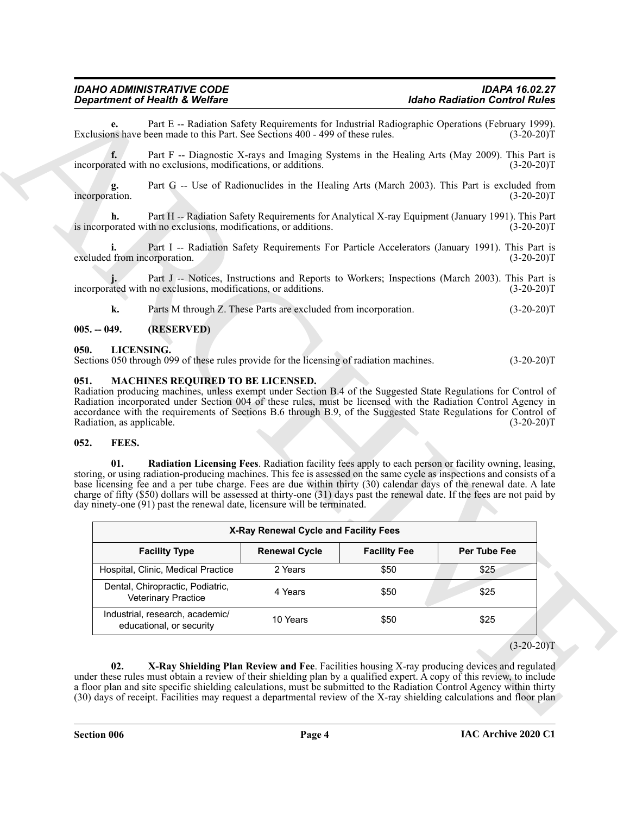#### *IDAHO ADMINISTRATIVE CODE IDAPA 16.02.27 Department of Health & Welfare*

#### <span id="page-3-0"></span>**005. -- 049. (RESERVED)**

#### <span id="page-3-7"></span><span id="page-3-1"></span>**050. LICENSING.**

#### <span id="page-3-8"></span><span id="page-3-2"></span>**051. MACHINES REQUIRED TO BE LICENSED.**

#### <span id="page-3-6"></span><span id="page-3-5"></span><span id="page-3-4"></span><span id="page-3-3"></span>**052. FEES.**

|                                            | <b>Department of Health &amp; Welfare</b>                                                              |                                                                 | <b>Idaho Radiation Control Rules</b> |                                                                                                                                                                                                                                                                                                                                                                                                                                                                                     |  |
|--------------------------------------------|--------------------------------------------------------------------------------------------------------|-----------------------------------------------------------------|--------------------------------------|-------------------------------------------------------------------------------------------------------------------------------------------------------------------------------------------------------------------------------------------------------------------------------------------------------------------------------------------------------------------------------------------------------------------------------------------------------------------------------------|--|
| e.                                         | Exclusions have been made to this Part. See Sections 400 - 499 of these rules.                         |                                                                 |                                      | Part E -- Radiation Safety Requirements for Industrial Radiographic Operations (February 1999).<br>$(3-20-20)T$                                                                                                                                                                                                                                                                                                                                                                     |  |
| f.                                         | incorporated with no exclusions, modifications, or additions.                                          |                                                                 |                                      | Part F -- Diagnostic X-rays and Imaging Systems in the Healing Arts (May 2009). This Part is<br>$(3-20-20)T$                                                                                                                                                                                                                                                                                                                                                                        |  |
| incorporation.                             |                                                                                                        |                                                                 |                                      | Part G -- Use of Radionuclides in the Healing Arts (March 2003). This Part is excluded from<br>$(3-20-20)T$                                                                                                                                                                                                                                                                                                                                                                         |  |
| h.                                         | is incorporated with no exclusions, modifications, or additions.                                       |                                                                 |                                      | Part H -- Radiation Safety Requirements for Analytical X-ray Equipment (January 1991). This Part<br>$(3-20-20)T$                                                                                                                                                                                                                                                                                                                                                                    |  |
| excluded from incorporation.               |                                                                                                        |                                                                 |                                      | Part I -- Radiation Safety Requirements For Particle Accelerators (January 1991). This Part is<br>$(3-20-20)T$                                                                                                                                                                                                                                                                                                                                                                      |  |
|                                            | incorporated with no exclusions, modifications, or additions.                                          |                                                                 |                                      | Part J -- Notices, Instructions and Reports to Workers; Inspections (March 2003). This Part is<br>$(3-20-20)T$                                                                                                                                                                                                                                                                                                                                                                      |  |
| k.                                         |                                                                                                        | Parts M through Z. These Parts are excluded from incorporation. |                                      | $(3-20-20)T$                                                                                                                                                                                                                                                                                                                                                                                                                                                                        |  |
| $005. - 049.$                              | (RESERVED)                                                                                             |                                                                 |                                      |                                                                                                                                                                                                                                                                                                                                                                                                                                                                                     |  |
| 050.                                       | LICENSING.<br>Sections 050 through 099 of these rules provide for the licensing of radiation machines. |                                                                 |                                      | $(3-20-20)T$                                                                                                                                                                                                                                                                                                                                                                                                                                                                        |  |
| Radiation, as applicable.<br>FEES.<br>052. |                                                                                                        |                                                                 |                                      | Radiation producing machines, unless exempt under Section B.4 of the Suggested State Regulations for Control of<br>Radiation incorporated under Section 004 of these rules, must be licensed with the Radiation Control Agency in<br>accordance with the requirements of Sections B.6 through B.9, of the Suggested State Regulations for Control of<br>$(3-20-20)T$                                                                                                                |  |
| 01.                                        | day ninety-one (91) past the renewal date, licensure will be terminated.                               |                                                                 |                                      | Radiation Licensing Fees. Radiation facility fees apply to each person or facility owning, leasing,<br>storing, or using radiation-producing machines. This fee is assessed on the same cycle as inspections and consists of a<br>base licensing fee and a per tube charge. Fees are due within thirty (30) calendar days of the renewal date. A late<br>charge of fifty (\$50) dollars will be assessed at thirty-one (31) days past the renewal date. If the fees are not paid by |  |
|                                            |                                                                                                        |                                                                 |                                      |                                                                                                                                                                                                                                                                                                                                                                                                                                                                                     |  |
|                                            |                                                                                                        | X-Ray Renewal Cycle and Facility Fees                           |                                      |                                                                                                                                                                                                                                                                                                                                                                                                                                                                                     |  |
|                                            | <b>Facility Type</b>                                                                                   | <b>Renewal Cycle</b>                                            | <b>Facility Fee</b>                  | Per Tube Fee                                                                                                                                                                                                                                                                                                                                                                                                                                                                        |  |
|                                            | Hospital, Clinic, Medical Practice                                                                     | 2 Years                                                         | \$50                                 | \$25                                                                                                                                                                                                                                                                                                                                                                                                                                                                                |  |
|                                            | Dental, Chiropractic, Podiatric,<br>Veterinary Practice                                                | 4 Years                                                         | \$50                                 | \$25                                                                                                                                                                                                                                                                                                                                                                                                                                                                                |  |
|                                            | Industrial, research, academic/<br>educational, or security                                            | 10 Years                                                        | \$50                                 | \$25                                                                                                                                                                                                                                                                                                                                                                                                                                                                                |  |
|                                            |                                                                                                        |                                                                 |                                      | $(3-20-20)T$                                                                                                                                                                                                                                                                                                                                                                                                                                                                        |  |
| 02.                                        |                                                                                                        |                                                                 |                                      |                                                                                                                                                                                                                                                                                                                                                                                                                                                                                     |  |
|                                            |                                                                                                        |                                                                 |                                      | X-Ray Shielding Plan Review and Fee. Facilities housing X-ray producing devices and regulated<br>under these rules must obtain a review of their shielding plan by a qualified expert. A copy of this review, to include<br>a floor plan and site specific shielding calculations, must be submitted to the Radiation Control Agency within thirty                                                                                                                                  |  |

 $(3-20-20)T$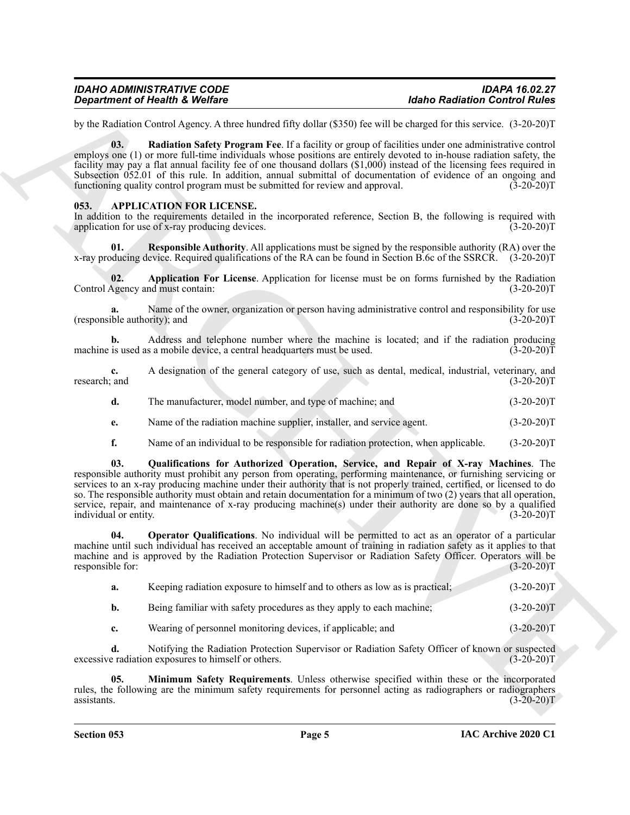| IDAHO ADMINISTRATIVE CODE      | <b>IDAPA 16.02.27</b>                |
|--------------------------------|--------------------------------------|
| Department of Health & Welfare | <b>Idaho Radiation Control Rules</b> |

by the Radiation Control Agency. A three hundred fifty dollar (\$350) fee will be charged for this service. (3-20-20)T

<span id="page-4-7"></span>**03. Radiation Safety Program Fee**. If a facility or group of facilities under one administrative control employs one (1) or more full-time individuals whose positions are entirely devoted to in-house radiation safety, the facility may pay a flat annual facility fee of one thousand dollars (\$1,000) instead of the licensing fees required in Subsection 052.01 of this rule. In addition, annual submittal of documentation of evidence of an ongoing and functioning quality control program must be submitted for review and approval. (3-20-20) functioning quality control program must be submitted for review and approval.

#### <span id="page-4-1"></span><span id="page-4-0"></span>**053. APPLICATION FOR LICENSE.**

In addition to the requirements detailed in the incorporated reference, Section B, the following is required with application for use of x-ray producing devices. (3-20-20) application for use of x-ray producing devices.

<span id="page-4-6"></span>**01. Responsible Authority**. All applications must be signed by the responsible authority (RA) over the x-ray producing device. Required qualifications of the RA can be found in Section B.6c of the SSRCR. (3-20-20)T

<span id="page-4-2"></span>**02. Application For License**. Application for license must be on forms furnished by the Radiation Agency and must contain: (3-20-20) Control Agency and must contain:

Name of the owner, organization or person having administrative control and responsibility for use<br>prity): and (3-20-20)T (responsible authority); and

**b.** Address and telephone number where the machine is located; and if the radiation producing is used as a mobile device, a central headquarters must be used. (3-20-20) machine is used as a mobile device, a central headquarters must be used.

| research: and |  |  | A designation of the general category of use, such as dental, medical, industrial, veterinary, and | $(3-20-20)T$ |
|---------------|--|--|----------------------------------------------------------------------------------------------------|--------------|
|               |  |  |                                                                                                    | (2.20)       |

- **d.** The manufacturer, model number, and type of machine; and (3-20-20)T
- **e.** Name of the radiation machine supplier, installer, and service agent. (3-20-20)T
- <span id="page-4-5"></span>**f.** Name of an individual to be responsible for radiation protection, when applicable. (3-20-20)T

**Expansion of Newton Reflection**<br> **Expansion Control Reflection**<br>  $\frac{1}{2}$  and  $\frac{1}{2}$  and  $\frac{1}{2}$  and  $\frac{1}{2}$  and  $\frac{1}{2}$  and  $\frac{1}{2}$  and  $\frac{1}{2}$  and  $\frac{1}{2}$  and  $\frac{1}{2}$  and  $\frac{1}{2}$  and  $\frac{1}{2}$  and **03. Qualifications for Authorized Operation, Service, and Repair of X-ray Machines**. The responsible authority must prohibit any person from operating, performing maintenance, or furnishing servicing or services to an x-ray producing machine under their authority that is not properly trained, certified, or licensed to do so. The responsible authority must obtain and retain documentation for a minimum of two (2) years that all operation, service, repair, and maintenance of x-ray producing machine(s) under their authority are done so by a qualified individual or entity. (3-20-20)T

**04. Operator Qualifications**. No individual will be permitted to act as an operator of a particular machine until such individual has received an acceptable amount of training in radiation safety as it applies to that machine and is approved by the Radiation Protection Supervisor or Radiation Safety Officer. Operators will be responsible for: (3-20-20)T

<span id="page-4-4"></span>

| a. |  |  | Keeping radiation exposure to himself and to others as low as is practical: | $(3-20-20)T$ |
|----|--|--|-----------------------------------------------------------------------------|--------------|
|----|--|--|-----------------------------------------------------------------------------|--------------|

**b.** Being familiar with safety procedures as they apply to each machine; (3-20-20)T

<span id="page-4-3"></span>**c.** Wearing of personnel monitoring devices, if applicable; and  $(3-20-20)$ T

**d.** Notifying the Radiation Protection Supervisor or Radiation Safety Officer of known or suspected e radiation exposures to himself or others. (3-20-20)T excessive radiation exposures to himself or others.

**05. Minimum Safety Requirements**. Unless otherwise specified within these or the incorporated rules, the following are the minimum safety requirements for personnel acting as radiographers or radiographers assistants.  $(3-20-20)T$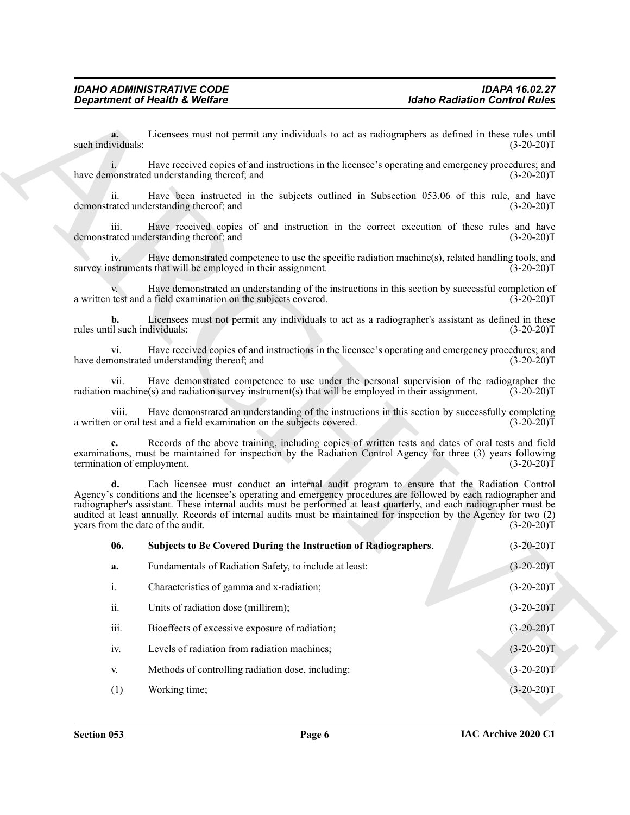<span id="page-5-0"></span>

|                                           | <b>Department of Health &amp; Welfare</b>                                                                                                                                                                                                                                                                                                                                                                                                                                                     | <b>Idaho Radiation Control Rules</b> |
|-------------------------------------------|-----------------------------------------------------------------------------------------------------------------------------------------------------------------------------------------------------------------------------------------------------------------------------------------------------------------------------------------------------------------------------------------------------------------------------------------------------------------------------------------------|--------------------------------------|
| a.<br>such individuals:                   | Licensees must not permit any individuals to act as radiographers as defined in these rules until                                                                                                                                                                                                                                                                                                                                                                                             | $(3-20-20)T$                         |
|                                           | Have received copies of and instructions in the licensee's operating and emergency procedures; and<br>have demonstrated understanding thereof; and                                                                                                                                                                                                                                                                                                                                            | $(3-20-20)T$                         |
| ii.                                       | Have been instructed in the subjects outlined in Subsection 053.06 of this rule, and have<br>demonstrated understanding thereof; and                                                                                                                                                                                                                                                                                                                                                          | $(3-20-20)T$                         |
| iii.                                      | Have received copies of and instruction in the correct execution of these rules and have<br>demonstrated understanding thereof; and                                                                                                                                                                                                                                                                                                                                                           | $(3-20-20)T$                         |
| iv.                                       | Have demonstrated competence to use the specific radiation machine(s), related handling tools, and<br>survey instruments that will be employed in their assignment.                                                                                                                                                                                                                                                                                                                           | $(3-20-20)T$                         |
|                                           | Have demonstrated an understanding of the instructions in this section by successful completion of<br>a written test and a field examination on the subjects covered.                                                                                                                                                                                                                                                                                                                         | $(3-20-20)T$                         |
| b.<br>rules until such individuals:       | Licensees must not permit any individuals to act as a radiographer's assistant as defined in these                                                                                                                                                                                                                                                                                                                                                                                            | $(3-20-20)T$                         |
| vi.                                       | Have received copies of and instructions in the licensee's operating and emergency procedures; and<br>have demonstrated understanding thereof; and                                                                                                                                                                                                                                                                                                                                            | $(3-20-20)T$                         |
| vii.                                      | Have demonstrated competence to use under the personal supervision of the radiographer the<br>radiation machine(s) and radiation survey instrument(s) that will be employed in their assignment.                                                                                                                                                                                                                                                                                              | $(3-20-20)T$                         |
| viii.                                     | Have demonstrated an understanding of the instructions in this section by successfully completing<br>a written or oral test and a field examination on the subjects covered.                                                                                                                                                                                                                                                                                                                  | $(3-20-20)T$                         |
| $c_{\cdot}$<br>termination of employment. | Records of the above training, including copies of written tests and dates of oral tests and field<br>examinations, must be maintained for inspection by the Radiation Control Agency for three (3) years following                                                                                                                                                                                                                                                                           | $(3-20-20)T$                         |
| d.                                        | Each licensee must conduct an internal audit program to ensure that the Radiation Control<br>Agency's conditions and the licensee's operating and emergency procedures are followed by each radiographer and<br>radiographer's assistant. These internal audits must be performed at least quarterly, and each radiographer must be<br>audited at least annually. Records of internal audits must be maintained for inspection by the Agency for two (2)<br>years from the date of the audit. | $(3-20-20)T$                         |
| 06.                                       | Subjects to Be Covered During the Instruction of Radiographers.                                                                                                                                                                                                                                                                                                                                                                                                                               | $(3-20-20)T$                         |
| a.                                        | Fundamentals of Radiation Safety, to include at least:                                                                                                                                                                                                                                                                                                                                                                                                                                        | $(3-20-20)T$                         |
| i.                                        | Characteristics of gamma and x-radiation;                                                                                                                                                                                                                                                                                                                                                                                                                                                     | $(3-20-20)T$                         |
| ii.                                       | Units of radiation dose (millirem);                                                                                                                                                                                                                                                                                                                                                                                                                                                           | $(3-20-20)T$                         |
| iii.                                      | Bioeffects of excessive exposure of radiation;                                                                                                                                                                                                                                                                                                                                                                                                                                                | $(3-20-20)T$                         |
| iv.                                       | Levels of radiation from radiation machines;                                                                                                                                                                                                                                                                                                                                                                                                                                                  | $(3-20-20)T$                         |
| V.                                        | Methods of controlling radiation dose, including:                                                                                                                                                                                                                                                                                                                                                                                                                                             | $(3-20-20)T$                         |
|                                           | Working time;                                                                                                                                                                                                                                                                                                                                                                                                                                                                                 | $(3-20-20)T$                         |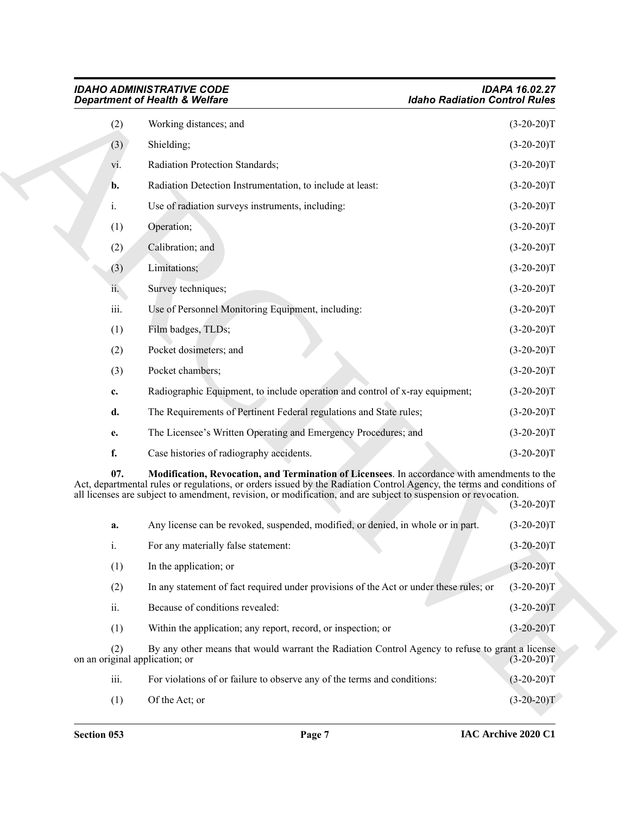|                                       | <b>IDAHO ADMINISTRATIVE CODE</b><br><b>Department of Health &amp; Welfare</b>                                                                                                                                                                                                                                                           | <b>IDAPA 16.02.27</b><br><b>Idaho Radiation Control Rules</b> |
|---------------------------------------|-----------------------------------------------------------------------------------------------------------------------------------------------------------------------------------------------------------------------------------------------------------------------------------------------------------------------------------------|---------------------------------------------------------------|
| (2)                                   | Working distances; and                                                                                                                                                                                                                                                                                                                  | $(3-20-20)T$                                                  |
| (3)                                   | Shielding;                                                                                                                                                                                                                                                                                                                              | $(3-20-20)T$                                                  |
| V1.                                   | Radiation Protection Standards;                                                                                                                                                                                                                                                                                                         | $(3-20-20)T$                                                  |
| b.                                    | Radiation Detection Instrumentation, to include at least:                                                                                                                                                                                                                                                                               | $(3-20-20)T$                                                  |
| i.                                    | Use of radiation surveys instruments, including:                                                                                                                                                                                                                                                                                        | $(3-20-20)T$                                                  |
| (1)                                   | Operation;                                                                                                                                                                                                                                                                                                                              | $(3-20-20)T$                                                  |
| (2)                                   | Calibration; and                                                                                                                                                                                                                                                                                                                        | $(3-20-20)T$                                                  |
| (3)                                   | Limitations;                                                                                                                                                                                                                                                                                                                            | $(3-20-20)T$                                                  |
| ii.                                   | Survey techniques;                                                                                                                                                                                                                                                                                                                      | $(3-20-20)T$                                                  |
| iii.                                  | Use of Personnel Monitoring Equipment, including:                                                                                                                                                                                                                                                                                       | $(3-20-20)T$                                                  |
| (1)                                   | Film badges, TLDs;                                                                                                                                                                                                                                                                                                                      | $(3-20-20)T$                                                  |
| (2)                                   | Pocket dosimeters; and                                                                                                                                                                                                                                                                                                                  | $(3-20-20)T$                                                  |
| (3)                                   | Pocket chambers;                                                                                                                                                                                                                                                                                                                        | $(3-20-20)T$                                                  |
| c.                                    | Radiographic Equipment, to include operation and control of x-ray equipment;                                                                                                                                                                                                                                                            | $(3-20-20)T$                                                  |
| d.                                    | The Requirements of Pertinent Federal regulations and State rules;                                                                                                                                                                                                                                                                      | $(3-20-20)T$                                                  |
| е.                                    | The Licensee's Written Operating and Emergency Procedures; and                                                                                                                                                                                                                                                                          | $(3-20-20)T$                                                  |
| f.                                    | Case histories of radiography accidents.                                                                                                                                                                                                                                                                                                | $(3-20-20)T$                                                  |
| 07.                                   | Modification, Revocation, and Termination of Licensees. In accordance with amendments to the<br>Act, departmental rules or regulations, or orders issued by the Radiation Control Agency, the terms and conditions of<br>all licenses are subject to amendment, revision, or modification, and are subject to suspension or revocation. | $(3-20-20)T$                                                  |
| a.                                    | Any license can be revoked, suspended, modified, or denied, in whole or in part.                                                                                                                                                                                                                                                        | $(3-20-20)T$                                                  |
| i.                                    | For any materially false statement:                                                                                                                                                                                                                                                                                                     | $(3-20-20)T$                                                  |
| (1)                                   | In the application; or                                                                                                                                                                                                                                                                                                                  | $(3-20-20)T$                                                  |
| (2)                                   | In any statement of fact required under provisions of the Act or under these rules; or                                                                                                                                                                                                                                                  | $(3-20-20)T$                                                  |
| ii.                                   | Because of conditions revealed:                                                                                                                                                                                                                                                                                                         | $(3-20-20)T$                                                  |
| (1)                                   | Within the application; any report, record, or inspection; or                                                                                                                                                                                                                                                                           | $(3-20-20)T$                                                  |
| (2)<br>on an original application; or | By any other means that would warrant the Radiation Control Agency to refuse to grant a license                                                                                                                                                                                                                                         | $(3-20-20)T$                                                  |
| iii.                                  | For violations of or failure to observe any of the terms and conditions:                                                                                                                                                                                                                                                                | $(3-20-20)T$                                                  |
| (1)                                   | Of the Act; or                                                                                                                                                                                                                                                                                                                          | $(3-20-20)T$                                                  |

<span id="page-6-0"></span>

| a.   | Any license can be revoked, suspended, modified, or denied, in whole or in part.                                                  | $(3-20-20)T$ |
|------|-----------------------------------------------------------------------------------------------------------------------------------|--------------|
| i.   | For any materially false statement:                                                                                               | $(3-20-20)T$ |
| (1)  | In the application; or                                                                                                            | $(3-20-20)T$ |
| (2)  | In any statement of fact required under provisions of the Act or under these rules; or                                            | $(3-20-20)T$ |
| ii.  | Because of conditions revealed:                                                                                                   | $(3-20-20)T$ |
| (1)  | Within the application; any report, record, or inspection; or                                                                     | $(3-20-20)T$ |
| (2)  | By any other means that would warrant the Radiation Control Agency to refuse to grant a license<br>on an original application; or | $(3-20-20)T$ |
| iii. | For violations of or failure to observe any of the terms and conditions:                                                          | $(3-20-20)T$ |
| (1)  | Of the Act; or                                                                                                                    | $(3-20-20)T$ |
|      |                                                                                                                                   |              |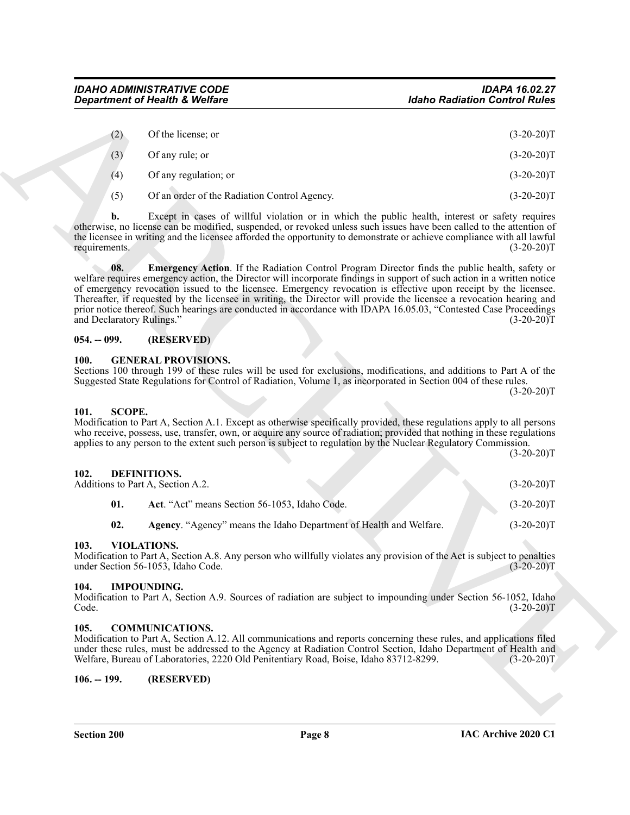| Of the license; or<br>(2)<br>Of any rule; or<br>(3)<br>$(3-20-20)T$<br>Of any regulation; or<br>(4)<br>$(3-20-20)T$<br>(5)<br>Of an order of the Radiation Control Agency.<br>$(3-20-20)T$<br>Except in cases of willful violation or in which the public health, interest or safety requires<br>b.<br>otherwise, no license can be modified, suspended, or revoked unless such issues have been called to the attention of<br>the licensee in writing and the licensee afforded the opportunity to demonstrate or achieve compliance with all lawful<br>requirements.<br>Emergency Action. If the Radiation Control Program Director finds the public health, safety or<br>08.<br>welfare requires emergency action, the Director will incorporate findings in support of such action in a written notice<br>of emergency revocation issued to the licensee. Emergency revocation is effective upon receipt by the licensee.<br>Thereafter, if requested by the licensee in writing, the Director will provide the licensee a revocation hearing and<br>prior notice thereof. Such hearings are conducted in accordance with IDAPA 16.05.03, "Contested Case Proceedings<br>and Declaratory Rulings."<br>$054. - 099.$<br>(RESERVED)<br><b>GENERAL PROVISIONS.</b><br><b>100.</b><br>Sections 100 through 199 of these rules will be used for exclusions, modifications, and additions to Part A of the<br>Suggested State Regulations for Control of Radiation, Volume 1, as incorporated in Section 004 of these rules.<br>101.<br><b>SCOPE.</b><br>Modification to Part A, Section A.1. Except as otherwise specifically provided, these regulations apply to all persons<br>who receive, possess, use, transfer, own, or acquire any source of radiation; provided that nothing in these regulations<br>applies to any person to the extent such person is subject to regulation by the Nuclear Regulatory Commission.<br><b>DEFINITIONS.</b><br>102.<br>Additions to Part A, Section A.2.<br>$(3-20-20)T$<br>01.<br>Act. "Act" means Section 56-1053, Idaho Code.<br>$(3-20-20)T$<br>02.<br>Agency. "Agency" means the Idaho Department of Health and Welfare.<br>VIOLATIONS.<br>103.<br>Modification to Part A, Section A.8. Any person who willfully violates any provision of the Act is subject to penalties<br>under Section 56-1053, Idaho Code.<br>104.<br><b>IMPOUNDING.</b><br>Modification to Part A, Section A.9. Sources of radiation are subject to impounding under Section 56-1052, Idaho<br>Code.<br><b>COMMUNICATIONS.</b><br>105.<br>Modification to Part A, Section A.12. All communications and reports concerning these rules, and applications filed<br>under these rules, must be addressed to the Agency at Radiation Control Section, Idaho Department of Health and<br>Welfare, Bureau of Laboratories, 2220 Old Penitentiary Road, Boise, Idaho 83712-8299.<br>$106. - 199.$<br>(RESERVED) | <b>Department of Health &amp; Welfare</b> | <b>Idaho Radiation Control Rules</b> |
|-----------------------------------------------------------------------------------------------------------------------------------------------------------------------------------------------------------------------------------------------------------------------------------------------------------------------------------------------------------------------------------------------------------------------------------------------------------------------------------------------------------------------------------------------------------------------------------------------------------------------------------------------------------------------------------------------------------------------------------------------------------------------------------------------------------------------------------------------------------------------------------------------------------------------------------------------------------------------------------------------------------------------------------------------------------------------------------------------------------------------------------------------------------------------------------------------------------------------------------------------------------------------------------------------------------------------------------------------------------------------------------------------------------------------------------------------------------------------------------------------------------------------------------------------------------------------------------------------------------------------------------------------------------------------------------------------------------------------------------------------------------------------------------------------------------------------------------------------------------------------------------------------------------------------------------------------------------------------------------------------------------------------------------------------------------------------------------------------------------------------------------------------------------------------------------------------------------------------------------------------------------------------------------------------------------------------------------------------------------------------------------------------------------------------------------------------------------------------------------------------------------------------------------------------------------------------------------------------------------------------------------------------------------------------------------------------------------------------------------------------------------------------------------------------------------------------------------------------------------------------------------------------------------------------------|-------------------------------------------|--------------------------------------|
|                                                                                                                                                                                                                                                                                                                                                                                                                                                                                                                                                                                                                                                                                                                                                                                                                                                                                                                                                                                                                                                                                                                                                                                                                                                                                                                                                                                                                                                                                                                                                                                                                                                                                                                                                                                                                                                                                                                                                                                                                                                                                                                                                                                                                                                                                                                                                                                                                                                                                                                                                                                                                                                                                                                                                                                                                                                                                                                             |                                           | $(3-20-20)T$                         |
|                                                                                                                                                                                                                                                                                                                                                                                                                                                                                                                                                                                                                                                                                                                                                                                                                                                                                                                                                                                                                                                                                                                                                                                                                                                                                                                                                                                                                                                                                                                                                                                                                                                                                                                                                                                                                                                                                                                                                                                                                                                                                                                                                                                                                                                                                                                                                                                                                                                                                                                                                                                                                                                                                                                                                                                                                                                                                                                             |                                           |                                      |
|                                                                                                                                                                                                                                                                                                                                                                                                                                                                                                                                                                                                                                                                                                                                                                                                                                                                                                                                                                                                                                                                                                                                                                                                                                                                                                                                                                                                                                                                                                                                                                                                                                                                                                                                                                                                                                                                                                                                                                                                                                                                                                                                                                                                                                                                                                                                                                                                                                                                                                                                                                                                                                                                                                                                                                                                                                                                                                                             |                                           |                                      |
|                                                                                                                                                                                                                                                                                                                                                                                                                                                                                                                                                                                                                                                                                                                                                                                                                                                                                                                                                                                                                                                                                                                                                                                                                                                                                                                                                                                                                                                                                                                                                                                                                                                                                                                                                                                                                                                                                                                                                                                                                                                                                                                                                                                                                                                                                                                                                                                                                                                                                                                                                                                                                                                                                                                                                                                                                                                                                                                             |                                           |                                      |
|                                                                                                                                                                                                                                                                                                                                                                                                                                                                                                                                                                                                                                                                                                                                                                                                                                                                                                                                                                                                                                                                                                                                                                                                                                                                                                                                                                                                                                                                                                                                                                                                                                                                                                                                                                                                                                                                                                                                                                                                                                                                                                                                                                                                                                                                                                                                                                                                                                                                                                                                                                                                                                                                                                                                                                                                                                                                                                                             |                                           |                                      |
|                                                                                                                                                                                                                                                                                                                                                                                                                                                                                                                                                                                                                                                                                                                                                                                                                                                                                                                                                                                                                                                                                                                                                                                                                                                                                                                                                                                                                                                                                                                                                                                                                                                                                                                                                                                                                                                                                                                                                                                                                                                                                                                                                                                                                                                                                                                                                                                                                                                                                                                                                                                                                                                                                                                                                                                                                                                                                                                             |                                           | $(3-20-20)T$                         |
|                                                                                                                                                                                                                                                                                                                                                                                                                                                                                                                                                                                                                                                                                                                                                                                                                                                                                                                                                                                                                                                                                                                                                                                                                                                                                                                                                                                                                                                                                                                                                                                                                                                                                                                                                                                                                                                                                                                                                                                                                                                                                                                                                                                                                                                                                                                                                                                                                                                                                                                                                                                                                                                                                                                                                                                                                                                                                                                             |                                           | $(3-20-20)T$                         |
|                                                                                                                                                                                                                                                                                                                                                                                                                                                                                                                                                                                                                                                                                                                                                                                                                                                                                                                                                                                                                                                                                                                                                                                                                                                                                                                                                                                                                                                                                                                                                                                                                                                                                                                                                                                                                                                                                                                                                                                                                                                                                                                                                                                                                                                                                                                                                                                                                                                                                                                                                                                                                                                                                                                                                                                                                                                                                                                             |                                           |                                      |
|                                                                                                                                                                                                                                                                                                                                                                                                                                                                                                                                                                                                                                                                                                                                                                                                                                                                                                                                                                                                                                                                                                                                                                                                                                                                                                                                                                                                                                                                                                                                                                                                                                                                                                                                                                                                                                                                                                                                                                                                                                                                                                                                                                                                                                                                                                                                                                                                                                                                                                                                                                                                                                                                                                                                                                                                                                                                                                                             |                                           | $(3-20-20)T$<br>$(3-20-20)T$         |
|                                                                                                                                                                                                                                                                                                                                                                                                                                                                                                                                                                                                                                                                                                                                                                                                                                                                                                                                                                                                                                                                                                                                                                                                                                                                                                                                                                                                                                                                                                                                                                                                                                                                                                                                                                                                                                                                                                                                                                                                                                                                                                                                                                                                                                                                                                                                                                                                                                                                                                                                                                                                                                                                                                                                                                                                                                                                                                                             |                                           |                                      |
|                                                                                                                                                                                                                                                                                                                                                                                                                                                                                                                                                                                                                                                                                                                                                                                                                                                                                                                                                                                                                                                                                                                                                                                                                                                                                                                                                                                                                                                                                                                                                                                                                                                                                                                                                                                                                                                                                                                                                                                                                                                                                                                                                                                                                                                                                                                                                                                                                                                                                                                                                                                                                                                                                                                                                                                                                                                                                                                             |                                           |                                      |
|                                                                                                                                                                                                                                                                                                                                                                                                                                                                                                                                                                                                                                                                                                                                                                                                                                                                                                                                                                                                                                                                                                                                                                                                                                                                                                                                                                                                                                                                                                                                                                                                                                                                                                                                                                                                                                                                                                                                                                                                                                                                                                                                                                                                                                                                                                                                                                                                                                                                                                                                                                                                                                                                                                                                                                                                                                                                                                                             |                                           |                                      |
|                                                                                                                                                                                                                                                                                                                                                                                                                                                                                                                                                                                                                                                                                                                                                                                                                                                                                                                                                                                                                                                                                                                                                                                                                                                                                                                                                                                                                                                                                                                                                                                                                                                                                                                                                                                                                                                                                                                                                                                                                                                                                                                                                                                                                                                                                                                                                                                                                                                                                                                                                                                                                                                                                                                                                                                                                                                                                                                             |                                           | $(3-20-20)T$                         |
|                                                                                                                                                                                                                                                                                                                                                                                                                                                                                                                                                                                                                                                                                                                                                                                                                                                                                                                                                                                                                                                                                                                                                                                                                                                                                                                                                                                                                                                                                                                                                                                                                                                                                                                                                                                                                                                                                                                                                                                                                                                                                                                                                                                                                                                                                                                                                                                                                                                                                                                                                                                                                                                                                                                                                                                                                                                                                                                             |                                           | $(3-20-20)T$                         |
|                                                                                                                                                                                                                                                                                                                                                                                                                                                                                                                                                                                                                                                                                                                                                                                                                                                                                                                                                                                                                                                                                                                                                                                                                                                                                                                                                                                                                                                                                                                                                                                                                                                                                                                                                                                                                                                                                                                                                                                                                                                                                                                                                                                                                                                                                                                                                                                                                                                                                                                                                                                                                                                                                                                                                                                                                                                                                                                             |                                           | $(3-20-20)T$                         |
|                                                                                                                                                                                                                                                                                                                                                                                                                                                                                                                                                                                                                                                                                                                                                                                                                                                                                                                                                                                                                                                                                                                                                                                                                                                                                                                                                                                                                                                                                                                                                                                                                                                                                                                                                                                                                                                                                                                                                                                                                                                                                                                                                                                                                                                                                                                                                                                                                                                                                                                                                                                                                                                                                                                                                                                                                                                                                                                             |                                           | $(3-20-20)T$                         |
|                                                                                                                                                                                                                                                                                                                                                                                                                                                                                                                                                                                                                                                                                                                                                                                                                                                                                                                                                                                                                                                                                                                                                                                                                                                                                                                                                                                                                                                                                                                                                                                                                                                                                                                                                                                                                                                                                                                                                                                                                                                                                                                                                                                                                                                                                                                                                                                                                                                                                                                                                                                                                                                                                                                                                                                                                                                                                                                             |                                           |                                      |

#### <span id="page-7-8"></span><span id="page-7-0"></span>**054. -- 099. (RESERVED)**

#### <span id="page-7-13"></span><span id="page-7-1"></span>**100. GENERAL PROVISIONS.**

#### <span id="page-7-15"></span><span id="page-7-2"></span>**101. SCOPE.**

<span id="page-7-11"></span><span id="page-7-10"></span><span id="page-7-3"></span>

| 102. |     | DEFINITIONS.<br>Additions to Part A, Section A.2.                         | $(3-20-20)T$ |  |
|------|-----|---------------------------------------------------------------------------|--------------|--|
|      | 01. | Act. "Act" means Section 56-1053, Idaho Code.                             | $(3-20-20)T$ |  |
|      | 02. | <b>Agency.</b> "Agency" means the Idaho Department of Health and Welfare. | $(3-20-20)T$ |  |

#### <span id="page-7-16"></span><span id="page-7-12"></span><span id="page-7-4"></span>**103. VIOLATIONS.**

#### <span id="page-7-14"></span><span id="page-7-5"></span>**104. IMPOUNDING.**

#### <span id="page-7-9"></span><span id="page-7-6"></span>**105. COMMUNICATIONS.**

#### <span id="page-7-7"></span>**106. -- 199. (RESERVED)**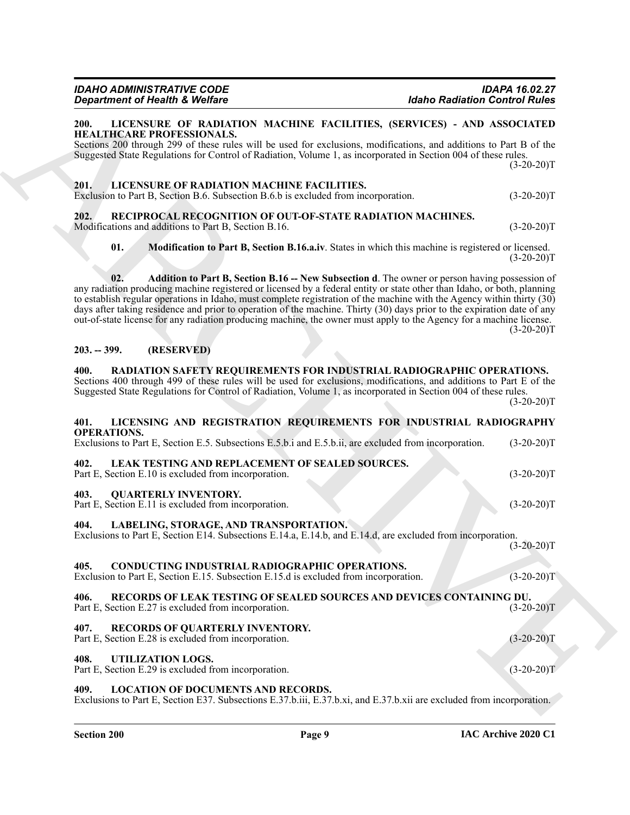#### <span id="page-8-19"></span><span id="page-8-0"></span>**200. LICENSURE OF RADIATION MACHINE FACILITIES, (SERVICES) - AND ASSOCIATED HEALTHCARE PROFESSIONALS.**

# <span id="page-8-25"></span><span id="page-8-23"></span><span id="page-8-18"></span><span id="page-8-2"></span><span id="page-8-1"></span>**201. LICENSURE OF RADIATION MACHINE FACILITIES.**

#### <span id="page-8-24"></span><span id="page-8-22"></span><span id="page-8-4"></span><span id="page-8-3"></span>**203. -- 399. (RESERVED)**

#### <span id="page-8-21"></span><span id="page-8-17"></span><span id="page-8-16"></span><span id="page-8-15"></span><span id="page-8-14"></span><span id="page-8-8"></span><span id="page-8-7"></span><span id="page-8-6"></span><span id="page-8-5"></span>**401. LICENSING AND REGISTRATION REQUIREMENTS FOR INDUSTRIAL RADIOGRAPHY OPERATIONS.**

| <b>Department of Health &amp; Welfare</b>                                                   |                                                                                                                                        | <b>Idaho Radiation Control Rules</b>                                                                                                                                                                                                                                                                                                                                                                                                                                                                                                                                                                  |              |
|---------------------------------------------------------------------------------------------|----------------------------------------------------------------------------------------------------------------------------------------|-------------------------------------------------------------------------------------------------------------------------------------------------------------------------------------------------------------------------------------------------------------------------------------------------------------------------------------------------------------------------------------------------------------------------------------------------------------------------------------------------------------------------------------------------------------------------------------------------------|--------------|
| 200.<br>HEALTHCARE PROFESSIONALS.                                                           |                                                                                                                                        | LICENSURE OF RADIATION MACHINE FACILITIES, (SERVICES) - AND ASSOCIATED<br>Sections 200 through 299 of these rules will be used for exclusions, modifications, and additions to Part B of the<br>Suggested State Regulations for Control of Radiation, Volume 1, as incorporated in Section 004 of these rules.                                                                                                                                                                                                                                                                                        | $(3-20-20)T$ |
| 201.                                                                                        | LICENSURE OF RADIATION MACHINE FACILITIES.<br>Exclusion to Part B, Section B.6. Subsection B.6.b is excluded from incorporation.       |                                                                                                                                                                                                                                                                                                                                                                                                                                                                                                                                                                                                       | $(3-20-20)T$ |
| 202.<br>Modifications and additions to Part B, Section B.16.                                | RECIPROCAL RECOGNITION OF OUT-OF-STATE RADIATION MACHINES.                                                                             |                                                                                                                                                                                                                                                                                                                                                                                                                                                                                                                                                                                                       | $(3-20-20)T$ |
| 01.                                                                                         |                                                                                                                                        | Modification to Part B, Section B.16.a.iv. States in which this machine is registered or licensed.                                                                                                                                                                                                                                                                                                                                                                                                                                                                                                    | $(3-20-20)T$ |
| 02.                                                                                         |                                                                                                                                        | Addition to Part B, Section B.16 -- New Subsection d. The owner or person having possession of<br>any radiation producing machine registered or licensed by a federal entity or state other than Idaho, or both, planning<br>to establish regular operations in Idaho, must complete registration of the machine with the Agency within thirty (30)<br>days after taking residence and prior to operation of the machine. Thirty (30) days prior to the expiration date of any<br>out-of-state license for any radiation producing machine, the owner must apply to the Agency for a machine license. | $(3-20-20)T$ |
| (RESERVED)<br>$203. - 399.$                                                                 |                                                                                                                                        |                                                                                                                                                                                                                                                                                                                                                                                                                                                                                                                                                                                                       |              |
| 400.                                                                                        |                                                                                                                                        | RADIATION SAFETY REQUIREMENTS FOR INDUSTRIAL RADIOGRAPHIC OPERATIONS.<br>Sections 400 through 499 of these rules will be used for exclusions, modifications, and additions to Part E of the<br>Suggested State Regulations for Control of Radiation, Volume 1, as incorporated in Section 004 of these rules.                                                                                                                                                                                                                                                                                         | $(3-20-20)T$ |
| 401.<br><b>OPERATIONS.</b>                                                                  |                                                                                                                                        | LICENSING AND REGISTRATION REQUIREMENTS FOR INDUSTRIAL RADIOGRAPHY<br>Exclusions to Part E, Section E.5. Subsections E.5.b.i and E.5.b.ii, are excluded from incorporation.                                                                                                                                                                                                                                                                                                                                                                                                                           | $(3-20-20)T$ |
| 402.<br>Part E, Section E.10 is excluded from incorporation.                                | LEAK TESTING AND REPLACEMENT OF SEALED SOURCES.                                                                                        |                                                                                                                                                                                                                                                                                                                                                                                                                                                                                                                                                                                                       | $(3-20-20)T$ |
| 403.<br><b>QUARTERLY INVENTORY.</b><br>Part E, Section E.11 is excluded from incorporation. |                                                                                                                                        |                                                                                                                                                                                                                                                                                                                                                                                                                                                                                                                                                                                                       | $(3-20-20)T$ |
| 404.                                                                                        | LABELING, STORAGE, AND TRANSPORTATION.                                                                                                 | Exclusions to Part E, Section E14. Subsections E.14.a, E.14.b, and E.14.d, are excluded from incorporation.                                                                                                                                                                                                                                                                                                                                                                                                                                                                                           | $(3-20-20)T$ |
| 405.                                                                                        | CONDUCTING INDUSTRIAL RADIOGRAPHIC OPERATIONS.<br>Exclusion to Part E, Section E.15. Subsection E.15.d is excluded from incorporation. |                                                                                                                                                                                                                                                                                                                                                                                                                                                                                                                                                                                                       | $(3-20-20)T$ |
| 406.<br>Part E, Section E.27 is excluded from incorporation.                                |                                                                                                                                        | RECORDS OF LEAK TESTING OF SEALED SOURCES AND DEVICES CONTAINING DU.                                                                                                                                                                                                                                                                                                                                                                                                                                                                                                                                  | $(3-20-20)T$ |
| 407.<br>Part E, Section E.28 is excluded from incorporation.                                | RECORDS OF QUARTERLY INVENTORY.                                                                                                        |                                                                                                                                                                                                                                                                                                                                                                                                                                                                                                                                                                                                       | $(3-20-20)T$ |
| 408.<br>UTILIZATION LOGS.<br>Part E, Section E.29 is excluded from incorporation.           |                                                                                                                                        |                                                                                                                                                                                                                                                                                                                                                                                                                                                                                                                                                                                                       | $(3-20-20)T$ |
|                                                                                             |                                                                                                                                        |                                                                                                                                                                                                                                                                                                                                                                                                                                                                                                                                                                                                       |              |

#### <span id="page-8-28"></span><span id="page-8-27"></span><span id="page-8-26"></span><span id="page-8-20"></span><span id="page-8-13"></span><span id="page-8-12"></span><span id="page-8-11"></span><span id="page-8-10"></span><span id="page-8-9"></span>Exclusions to Part E, Section E37. Subsections E.37.b.iii, E.37.b.xi, and E.37.b.xii are excluded from incorporation.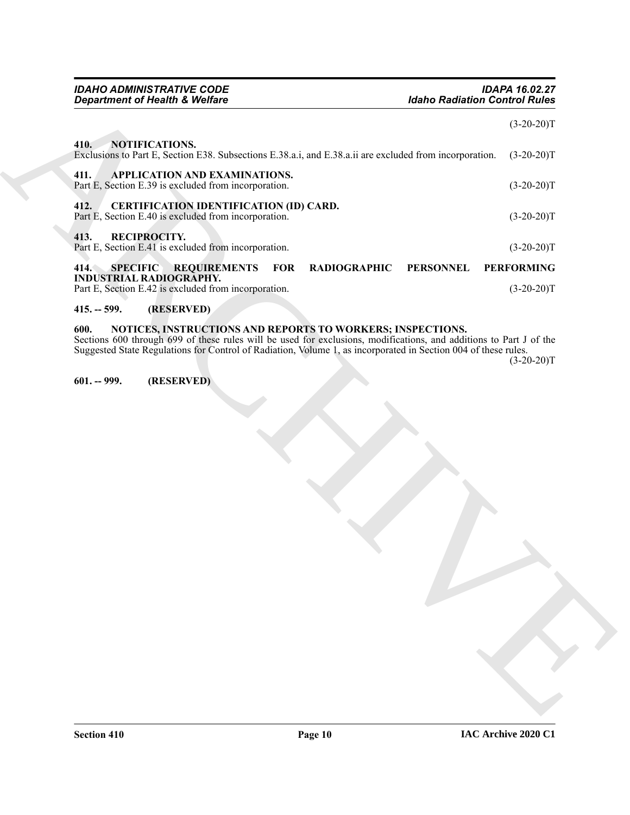#### <span id="page-9-2"></span>**412. CERTIFICATION IDENTIFICATION (ID) CARD.** Part E, Section E.40 is excluded from incorporation. (3-20-20)T

# <span id="page-9-12"></span><span id="page-9-3"></span>**413. RECIPROCITY.**

<span id="page-9-11"></span><span id="page-9-0"></span>**410. NOTIFICATIONS.**

*Department of Health & Welfare* 

<span id="page-9-13"></span><span id="page-9-4"></span>Part E, Section E.41 is excluded from incorporation. (3-20-20)T

<span id="page-9-8"></span><span id="page-9-1"></span>**411. APPLICATION AND EXAMINATIONS.**

# *Great interest of Health C. Webline*<br>
14 and 200 million C. Michael C. State and E. Neutral interested interesting (52-2011<br>
14 and 200 million C. Michael C. State and E. Neutral interesting (52-2011<br>
17 and 200 million **414. SPECIFIC REQUIREMENTS FOR RADIOGRAPHIC PERSONNEL PERFORMING INDUSTRIAL RADIOGRAPHY.**

*IDAHO ADMINISTRATIVE CODE IDAPA 16.02.27*

Exclusions to Part E, Section E38. Subsections E.38.a.i, and E.38.a.ii are excluded from incorporation. (3-20-20)T

<span id="page-9-9"></span>Part E, Section E.39 is excluded from incorporation. (3-20-20)T

Part E, Section E.42 is excluded from incorporation. (3-20-20)T

# <span id="page-9-5"></span>**415. -- 599. (RESERVED)**

# <span id="page-9-10"></span><span id="page-9-6"></span>**600. NOTICES, INSTRUCTIONS AND REPORTS TO WORKERS; INSPECTIONS.**

Sections 600 through 699 of these rules will be used for exclusions, modifications, and additions to Part J of the Suggested State Regulations for Control of Radiation, Volume 1, as incorporated in Section 004 of these rules.

 $(3-20-20)T$ 

 $(3-20-20)T$ 

# <span id="page-9-7"></span>**601. -- 999. (RESERVED)**